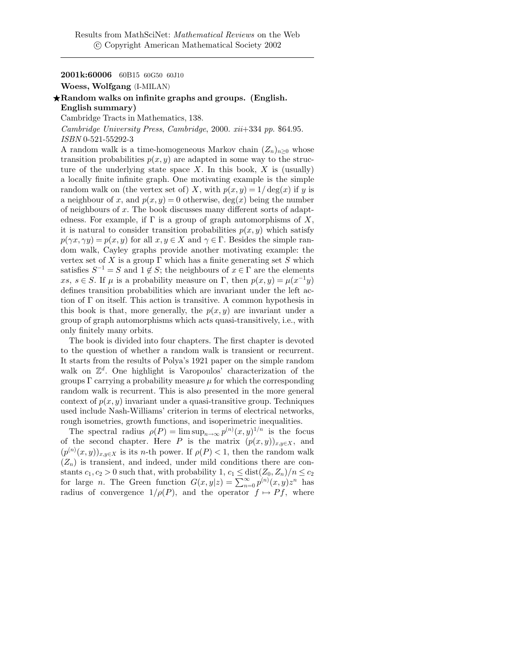## 2001k:60006 60B15 60G50 60J10

Woess, Wolfgang (I-MILAN)

## $\star$ Random walks on infinite graphs and groups. (English. English summary)

Cambridge Tracts in Mathematics, 138.

Cambridge University Press, Cambridge, 2000. xii+334 pp. \$64.95. ISBN 0-521-55292-3

A random walk is a time-homogeneous Markov chain  $(Z_n)_{n>0}$  whose transition probabilities  $p(x, y)$  are adapted in some way to the structure of the underlying state space X. In this book,  $X$  is (usually) a locally finite infinite graph. One motivating example is the simple random walk on (the vertex set of) X, with  $p(x, y) = 1/\deg(x)$  if y is a neighbour of x, and  $p(x, y) = 0$  otherwise, deg(x) being the number of neighbours of  $x$ . The book discusses many different sorts of adaptedness. For example, if  $\Gamma$  is a group of graph automorphisms of X, it is natural to consider transition probabilities  $p(x, y)$  which satisfy  $p(\gamma x, \gamma y) = p(x, y)$  for all  $x, y \in X$  and  $\gamma \in \Gamma$ . Besides the simple random walk, Cayley graphs provide another motivating example: the vertex set of X is a group  $\Gamma$  which has a finite generating set S which satisfies  $S^{-1} = S$  and  $1 \notin S$ ; the neighbours of  $x \in \Gamma$  are the elements xs,  $s \in S$ . If  $\mu$  is a probability measure on  $\Gamma$ , then  $p(x, y) = \mu(x^{-1}y)$ defines transition probabilities which are invariant under the left action of Γ on itself. This action is transitive. A common hypothesis in this book is that, more generally, the  $p(x, y)$  are invariant under a group of graph automorphisms which acts quasi-transitively, i.e., with only finitely many orbits.

The book is divided into four chapters. The first chapter is devoted to the question of whether a random walk is transient or recurrent. It starts from the results of Polya's 1921 paper on the simple random walk on  $\mathbb{Z}^d$ . One highlight is Varopoulos' characterization of the groups  $\Gamma$  carrying a probability measure  $\mu$  for which the corresponding random walk is recurrent. This is also presented in the more general context of  $p(x, y)$  invariant under a quasi-transitive group. Techniques used include Nash-Williams' criterion in terms of electrical networks, rough isometries, growth functions, and isoperimetric inequalities.

The spectral radius  $\rho(P) = \limsup_{n \to \infty} p^{(n)}(x, y)^{1/n}$  is the focus of the second chapter. Here P is the matrix  $(p(x,y))_{x,y\in X}$ , and  $(p^{(n)}(x, y))_{x, y \in X}$  is its *n*-th power. If  $\rho(P) < 1$ , then the random walk  $(Z_n)$  is transient, and indeed, under mild conditions there are constants  $c_1, c_2 > 0$  such that, with probability  $1, c_1 \leq \text{dist}(Z_0, Z_n)/n \leq c_2$ for large *n*. The Green function  $G(x,y|z) = \sum_{n=0}^{\infty} p^{(n)}(x,y)z^n$  has radius of convergence  $1/\rho(P)$ , and the operator  $f \mapsto Pf$ , where